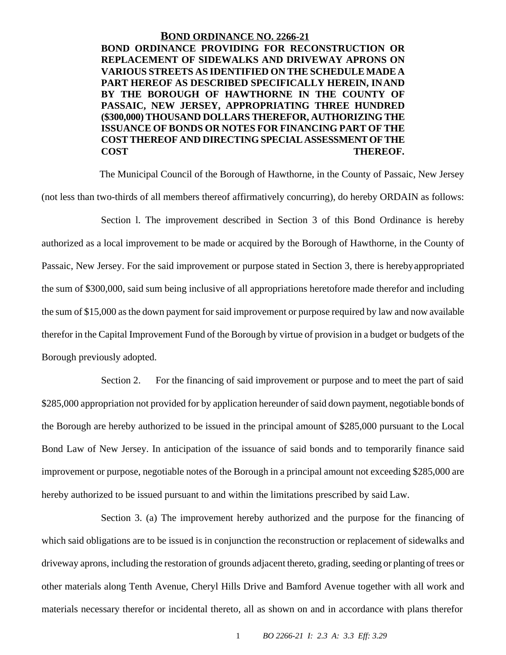#### **BOND ORDINANCE NO. 2266-21**

**BOND ORDINANCE PROVIDING FOR RECONSTRUCTION OR REPLACEMENT OF SIDEWALKS AND DRIVEWAY APRONS ON VARIOUS STREETS AS IDENTIFIED ON THE SCHEDULE MADE A PART HEREOF AS DESCRIBED SPECIFICALLY HEREIN, INAND BY THE BOROUGH OF HAWTHORNE IN THE COUNTY OF PASSAIC, NEW JERSEY, APPROPRIATING THREE HUNDRED (\$300,000) THOUSAND DOLLARS THEREFOR, AUTHORIZING THE ISSUANCE OF BONDS OR NOTES FOR FINANCING PART OF THE COST THEREOF AND DIRECTING SPECIAL ASSESSMENTOFTHE COST THEREOF.**

The Municipal Council of the Borough of Hawthorne, in the County of Passaic, New Jersey (not less than two-thirds of all members thereof affirmatively concurring), do hereby ORDAIN as follows:

Section l. The improvement described in Section 3 of this Bond Ordinance is hereby authorized as a local improvement to be made or acquired by the Borough of Hawthorne, in the County of Passaic, New Jersey. For the said improvement or purpose stated in Section 3, there is herebyappropriated the sum of \$300,000, said sum being inclusive of all appropriations heretofore made therefor and including the sum of \$15,000 asthe down payment forsaid improvement or purpose required by law and now available therefor in the Capital Improvement Fund of the Borough by virtue of provision in a budget or budgets of the Borough previously adopted.

Section 2. For the financing of said improvement or purpose and to meet the part of said \$285,000 appropriation not provided for by application hereunder of said down payment, negotiable bonds of the Borough are hereby authorized to be issued in the principal amount of \$285,000 pursuant to the Local Bond Law of New Jersey. In anticipation of the issuance of said bonds and to temporarily finance said improvement or purpose, negotiable notes of the Borough in a principal amount not exceeding \$285,000 are hereby authorized to be issued pursuant to and within the limitations prescribed by said Law.

Section 3. (a) The improvement hereby authorized and the purpose for the financing of which said obligations are to be issued is in conjunction the reconstruction or replacement of sidewalks and driveway aprons, including the restoration of grounds adjacent thereto, grading, seeding or planting of trees or other materials along Tenth Avenue, Cheryl Hills Drive and Bamford Avenue together with all work and materials necessary therefor or incidental thereto, all as shown on and in accordance with plans therefor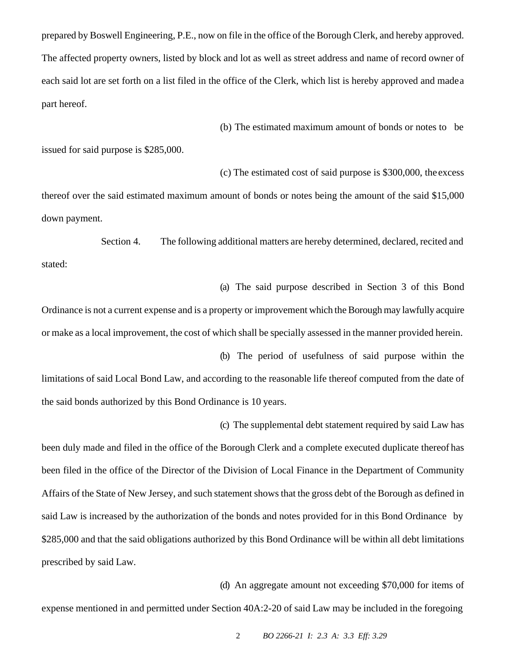prepared by Boswell Engineering, P.E., now on file in the office of the Borough Clerk, and hereby approved. The affected property owners, listed by block and lot as well as street address and name of record owner of each said lot are set forth on a list filed in the office of the Clerk, which list is hereby approved and madea part hereof.

(b) The estimated maximum amount of bonds or notes to be

issued for said purpose is \$285,000.

(c) The estimated cost of said purpose is \$300,000, the excess

thereof over the said estimated maximum amount of bonds or notes being the amount of the said \$15,000 down payment.

Section 4. The following additional matters are hereby determined, declared, recited and stated:

(a) The said purpose described in Section 3 of this Bond Ordinance is not a current expense and is a property or improvement which the Borough may lawfully acquire or make as a local improvement, the cost of which shall be specially assessed in the manner provided herein.

(b) The period of usefulness of said purpose within the limitations of said Local Bond Law, and according to the reasonable life thereof computed from the date of the said bonds authorized by this Bond Ordinance is 10 years.

been duly made and filed in the office of the Borough Clerk and a complete executed duplicate thereof has been filed in the office of the Director of the Division of Local Finance in the Department of Community Affairs of the State of New Jersey, and such statement shows that the gross debt of the Borough as defined in said Law is increased by the authorization of the bonds and notes provided for in this Bond Ordinance by \$285,000 and that the said obligations authorized by this Bond Ordinance will be within all debt limitations prescribed by said Law.

(d) An aggregate amount not exceeding \$70,000 for items of

(c) The supplemental debt statement required by said Law has

expense mentioned in and permitted under Section 40A:2-20 of said Law may be included in the foregoing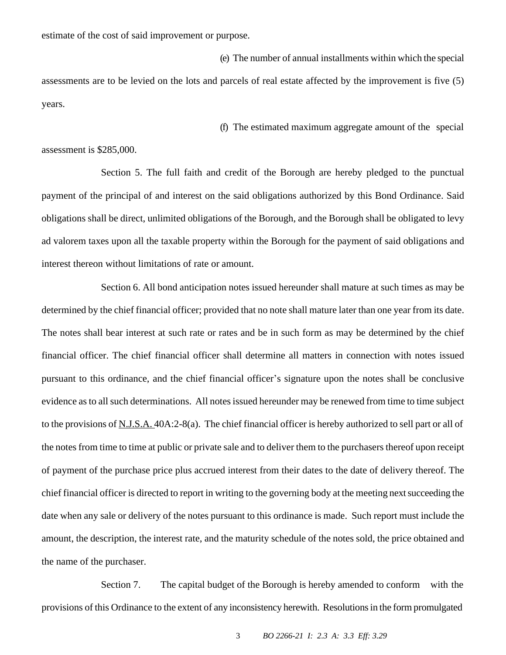estimate of the cost of said improvement or purpose.

(e) The number of annual installments within which the special

assessments are to be levied on the lots and parcels of real estate affected by the improvement is five (5) years.

(f) The estimated maximum aggregate amount of the special

assessment is \$285,000.

Section 5. The full faith and credit of the Borough are hereby pledged to the punctual payment of the principal of and interest on the said obligations authorized by this Bond Ordinance. Said obligations shall be direct, unlimited obligations of the Borough, and the Borough shall be obligated to levy ad valorem taxes upon all the taxable property within the Borough for the payment of said obligations and interest thereon without limitations of rate or amount.

Section 6. All bond anticipation notes issued hereunder shall mature at such times as may be determined by the chief financial officer; provided that no note shall mature later than one year from its date. The notes shall bear interest at such rate or rates and be in such form as may be determined by the chief financial officer. The chief financial officer shall determine all matters in connection with notes issued pursuant to this ordinance, and the chief financial officer's signature upon the notes shall be conclusive evidence as to all such determinations. All notes issued hereunder may be renewed from time to time subject to the provisions of N.J.S.A. 40A:2-8(a). The chief financial officer is hereby authorized to sell part or all of the notes from time to time at public or private sale and to deliver them to the purchasers thereof upon receipt of payment of the purchase price plus accrued interest from their dates to the date of delivery thereof. The chief financial officer is directed to report in writing to the governing body at the meeting next succeeding the date when any sale or delivery of the notes pursuant to this ordinance is made. Such report must include the amount, the description, the interest rate, and the maturity schedule of the notes sold, the price obtained and the name of the purchaser.

Section 7. The capital budget of the Borough is hereby amended to conform with the provisions of this Ordinance to the extent of any inconsistency herewith. Resolutionsin the form promulgated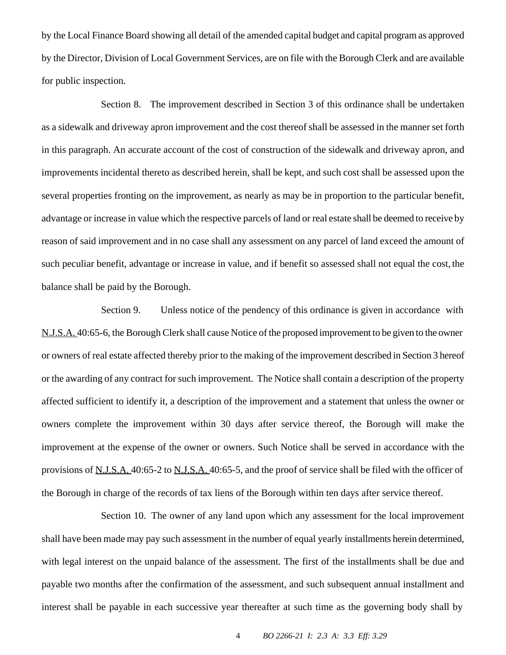by the Local Finance Board showing all detail of the amended capital budget and capital program as approved by the Director, Division of Local Government Services, are on file with the Borough Clerk and are available for public inspection.

Section 8. The improvement described in Section 3 of this ordinance shall be undertaken as a sidewalk and driveway apron improvement and the cost thereof shall be assessed in the manner set forth in this paragraph. An accurate account of the cost of construction of the sidewalk and driveway apron, and improvements incidental thereto as described herein, shall be kept, and such cost shall be assessed upon the several properties fronting on the improvement, as nearly as may be in proportion to the particular benefit, advantage or increase in value which the respective parcels of land or real estate shall be deemed to receive by reason of said improvement and in no case shall any assessment on any parcel of land exceed the amount of such peculiar benefit, advantage or increase in value, and if benefit so assessed shall not equal the cost, the balance shall be paid by the Borough.

Section 9. Unless notice of the pendency of this ordinance is given in accordance with N.J.S.A. 40:65-6, the Borough Clerk shall cause Notice of the proposed improvement to be given to the owner or owners of real estate affected thereby prior to the making of the improvement described in Section 3 hereof or the awarding of any contract for such improvement. The Notice shall contain a description of the property affected sufficient to identify it, a description of the improvement and a statement that unless the owner or owners complete the improvement within 30 days after service thereof, the Borough will make the improvement at the expense of the owner or owners. Such Notice shall be served in accordance with the provisions of N.J.S.A. 40:65-2 to N.J.S.A. 40:65-5, and the proof of service shall be filed with the officer of the Borough in charge of the records of tax liens of the Borough within ten days after service thereof.

Section 10. The owner of any land upon which any assessment for the local improvement shall have been made may pay such assessment in the number of equal yearly installments herein determined, with legal interest on the unpaid balance of the assessment. The first of the installments shall be due and payable two months after the confirmation of the assessment, and such subsequent annual installment and interest shall be payable in each successive year thereafter at such time as the governing body shall by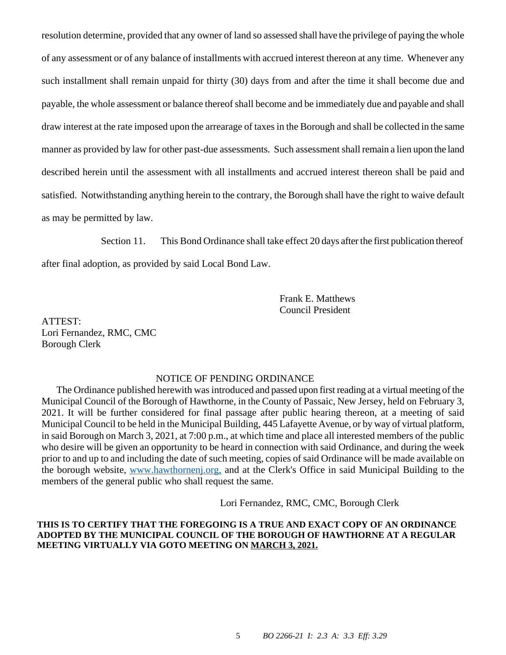resolution determine, provided that any owner of land so assessed shall have the privilege of paying the whole of any assessment or of any balance of installments with accrued interest thereon at any time. Whenever any such installment shall remain unpaid for thirty (30) days from and after the time it shall become due and payable, the whole assessment or balance thereof shall become and be immediately due and payable and shall draw interest at the rate imposed upon the arrearage of taxesin the Borough and shall be collected in the same manner as provided by law for other past-due assessments. Such assessment shall remain a lien upon the land described herein until the assessment with all installments and accrued interest thereon shall be paid and satisfied. Notwithstanding anything herein to the contrary, the Borough shall have the right to waive default as may be permitted by law.

Section 11. This Bond Ordinance shall take effect 20 days after the first publication thereof

after final adoption, as provided by said Local Bond Law.

Frank E. Matthews Council President

ATTEST: Lori Fernandez, RMC, CMC Borough Clerk

### NOTICE OF PENDING ORDINANCE

The Ordinance published herewith was introduced and passed upon first reading at a virtual meeting of the Municipal Council of the Borough of Hawthorne, in the County of Passaic, New Jersey, held on February 3, 2021. It will be further considered for final passage after public hearing thereon, at a meeting of said Municipal Council to be held in the Municipal Building, 445 Lafayette Avenue, or by way of virtual platform, in said Borough on March 3, 2021, at 7:00 p.m., at which time and place all interested members of the public who desire will be given an opportunity to be heard in connection with said Ordinance, and during the week prior to and up to and including the date of such meeting, copies of said Ordinance will be made available on the borough website, [www.hawthornenj.org,](http://www.hawthornenj.org/) and at the Clerk's Office in said Municipal Building to the members of the general public who shall request the same.

Lori Fernandez, RMC, CMC, Borough Clerk

### **THIS IS TO CERTIFY THAT THE FOREGOING IS A TRUE AND EXACT COPY OF AN ORDINANCE ADOPTED BY THE MUNICIPAL COUNCIL OF THE BOROUGH OF HAWTHORNE AT A REGULAR MEETING VIRTUALLY VIA GOTO MEETING ON MARCH 3, 2021.**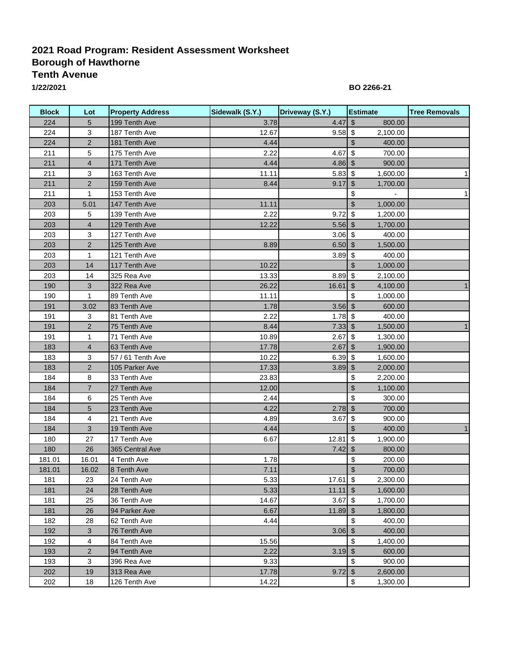## **2021 Road Program: Resident Assessment Worksheet Borough of Hawthorne Tenth Avenue**

**1/22/2021**

**BO 2266-21**

| <b>Block</b> | Lot            | <b>Property Address</b> | Sidewalk (S.Y.) | Driveway (S.Y.)       | <b>Estimate</b>                     | <b>Tree Removals</b> |
|--------------|----------------|-------------------------|-----------------|-----------------------|-------------------------------------|----------------------|
| 224          | 5              | 199 Tenth Ave           | 3.78            | 4.47                  | $\frac{1}{2}$<br>800.00             |                      |
| 224          | 3              | 187 Tenth Ave           | 12.67           | $9.58$ \$             | 2,100.00                            |                      |
| 224          | $\overline{2}$ | 181 Tenth Ave           | 4.44            |                       | \$<br>400.00                        |                      |
| 211          | 5              | 175 Tenth Ave           | 2.22            | 4.67                  | $\sqrt[6]{\frac{1}{2}}$<br>700.00   |                      |
| 211          | $\overline{4}$ | 171 Tenth Ave           | 4.44            | $4.86$ \$             | 900.00                              |                      |
| 211          | 3              | 163 Tenth Ave           | 11.11           | $5.83$ \$             | 1,600.00                            | $\mathbf{1}$         |
| 211          | $\overline{2}$ | 159 Tenth Ave           | 8.44            | $9.17$ \$             | 1,700.00                            |                      |
| 211          | $\mathbf{1}$   | 153 Tenth Ave           |                 |                       | \$                                  | 1                    |
| 203          | 5.01           | 147 Tenth Ave           | 11.11           |                       | $\mathfrak{S}$<br>1,000.00          |                      |
| 203          | 5              | 139 Tenth Ave           | 2.22            | 9.72                  | $\sqrt{2}$<br>1,200.00              |                      |
| 203          | $\overline{4}$ | 129 Tenth Ave           | 12.22           | $5.56$ \$             | 1,700.00                            |                      |
| 203          | 3              | 127 Tenth Ave           |                 | $3.06$ \$             | 400.00                              |                      |
| 203          | $\overline{c}$ | 125 Tenth Ave           | 8.89            | $6.50$ \$             | 1,500.00                            |                      |
| 203          | $\mathbf 1$    | 121 Tenth Ave           |                 | $3.89$ \$             | 400.00                              |                      |
| 203          | 14             | 117 Tenth Ave           | 10.22           |                       | \$<br>1,000.00                      |                      |
| 203          | 14             | 325 Rea Ave             | 13.33           | $8.89$ \$             | 2,100.00                            |                      |
| 190          | $\mathbf{3}$   | 322 Rea Ave             | 26.22           | 16.61                 | $\sqrt[6]{\frac{1}{2}}$<br>4,100.00 | 1                    |
| 190          | $\mathbf 1$    | 89 Tenth Ave            | 11.11           |                       | \$<br>1,000.00                      |                      |
| 191          | 3.02           | 83 Tenth Ave            | 1.78            | $3.56$ \$             | 600.00                              |                      |
| 191          | 3              | 81 Tenth Ave            | 2.22            | $1.78$ \$             | 400.00                              |                      |
| 191          | $\overline{2}$ | 75 Tenth Ave            | 8.44            | $7.33$ \$             | 1,500.00                            | 1                    |
| 191          | $\mathbf 1$    | 71 Tenth Ave            | 10.89           | 2.67                  | $\sqrt[6]{3}$<br>1,300.00           |                      |
| 183          | $\overline{4}$ | 63 Tenth Ave            | 17.78           | $2.67$ \$             | 1,900.00                            |                      |
| 183          | 3              | 57 / 61 Tenth Ave       | 10.22           | $6.39$ \$             | 1,600.00                            |                      |
| 183          | $\overline{2}$ | 105 Parker Ave          | 17.33           | $3.89$ \$             | 2,000.00                            |                      |
| 184          | 8              | 33 Tenth Ave            | 23.83           |                       | \$<br>2,200.00                      |                      |
| 184          | $\overline{7}$ | 27 Tenth Ave            | 12.00           |                       | $\mathfrak{S}$<br>1,100.00          |                      |
| 184          | 6              | 25 Tenth Ave            | 2.44            |                       | \$<br>300.00                        |                      |
| 184          | 5              | 23 Tenth Ave            | 4.22            | $2.78$ \$             | 700.00                              |                      |
| 184          | 4              | 21 Tenth Ave            | 4.89            | 3.67                  | $\boldsymbol{\mathsf{S}}$<br>900.00 |                      |
| 184          | $\sqrt{3}$     | 19 Tenth Ave            | 4.44            |                       | $\frac{1}{2}$<br>400.00             | 1                    |
| 180          | 27             | 17 Tenth Ave            | 6.67            | 12.81                 | $\sqrt[6]{\frac{1}{2}}$<br>1,900.00 |                      |
| 180          | 26             | 365 Central Ave         |                 | $7.42$ \$             | 800.00                              |                      |
| 181.01       | 16.01          | 4 Tenth Ave             | 1.78            |                       | \$<br>200.00                        |                      |
| 181.01       | 16.02          | 8 Tenth Ave             | 7.11            |                       | \$<br>700.00                        |                      |
| 181          | 23             | 24 Tenth Ave            | 5.33            | $17.61$ \$            | 2,300.00                            |                      |
| 181          | 24             | 28 Tenth Ave            | 5.33            | $11.11$ $\frac{1}{9}$ | 1,600.00                            |                      |
| 181          | 25             | 36 Tenth Ave            | 14.67           | 3.67                  | \$<br>1,700.00                      |                      |
| 181          | 26             | 94 Parker Ave           | 6.67            | $11.89$ \$            | 1,800.00                            |                      |
| 182          | 28             | 62 Tenth Ave            | 4.44            |                       | \$<br>400.00                        |                      |
| 192          | $\mathbf{3}$   | 76 Tenth Ave            |                 | $3.06$ \$             | 400.00                              |                      |
| 192          | 4              | 84 Tenth Ave            | 15.56           |                       | \$<br>1,400.00                      |                      |
| 193          | $\overline{c}$ | 94 Tenth Ave            | 2.22            | $3.19$ \$             | 600.00                              |                      |
| 193          | 3              | 396 Rea Ave             | 9.33            |                       | \$<br>900.00                        |                      |
| 202          | 19             | 313 Rea Ave             | 17.78           | 9.72                  | $\sqrt{2}$<br>2,600.00              |                      |
| 202          | 18             | 126 Tenth Ave           | 14.22           |                       | \$<br>1,300.00                      |                      |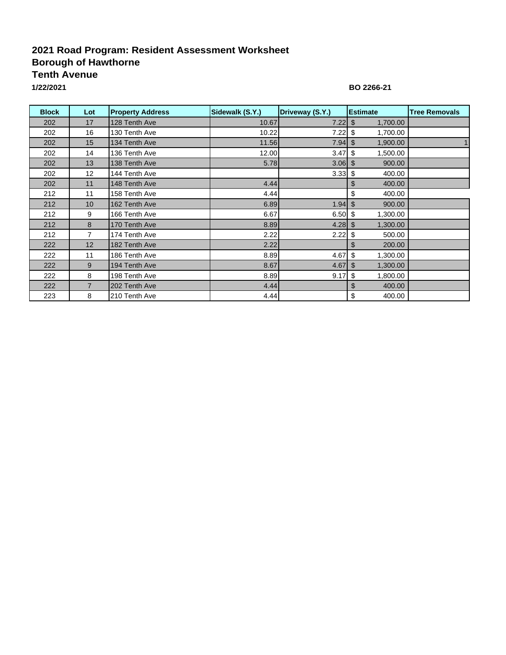## **2021 Road Program: Resident Assessment Worksheet Borough of Hawthorne Tenth Avenue**

**1/22/2021**

### **BO 2266-21**

| <b>Block</b> | Lot               | <b>Property Address</b> | Sidewalk (S.Y.) | Driveway (S.Y.) | <b>Estimate</b> | <b>Tree Removals</b> |
|--------------|-------------------|-------------------------|-----------------|-----------------|-----------------|----------------------|
| 202          | 17                | 128 Tenth Ave           | 10.67           | 7.22            | \$<br>1,700.00  |                      |
| 202          | 16                | 130 Tenth Ave           | 10.22           | 7.22            | \$،<br>1,700.00 |                      |
| 202          | 15                | 134 Tenth Ave           | 11.56           | 7.94            | 1,900.00<br>\$  |                      |
| 202          | 14                | 136 Tenth Ave           | 12.00           | 3.47            | 1,500.00<br>\$  |                      |
| 202          | 13                | 138 Tenth Ave           | 5.78            | $3.06$ \$       | 900.00          |                      |
| 202          | $12 \overline{ }$ | 144 Tenth Ave           |                 | $3.33$ \$       | 400.00          |                      |
| 202          | 11                | 148 Tenth Ave           | 4.44            |                 | 400.00<br>\$    |                      |
| 212          | 11                | 158 Tenth Ave           | 4.44            |                 | \$<br>400.00    |                      |
| 212          | 10                | 162 Tenth Ave           | 6.89            |                 | 900.00          |                      |
| 212          | 9                 | 166 Tenth Ave           | 6.67            | $6.50$ \$       | 1,300.00        |                      |
| 212          | 8                 | 170 Tenth Ave           | 8.89            | $4.28$ \$       | 1,300.00        |                      |
| 212          | 7                 | 174 Tenth Ave           | 2.22            | $2.22$ \$       | 500.00          |                      |
| 222          | 12                | 182 Tenth Ave           | 2.22            |                 | 200.00          |                      |
| 222          | 11                | 186 Tenth Ave           | 8.89            | 4.67            | \$<br>1,300.00  |                      |
| 222          | 9                 | 194 Tenth Ave           | 8.67            | 4.67            | 1,300.00<br>\$  |                      |
| 222          | 8                 | 198 Tenth Ave           | 8.89            | 9.17            | 1,800.00<br>\$  |                      |
| 222          | $\overline{7}$    | 202 Tenth Ave           | 4.44            |                 | 400.00<br>S     |                      |
| 223          | 8                 | 210 Tenth Ave           | 4.44            |                 | \$<br>400.00    |                      |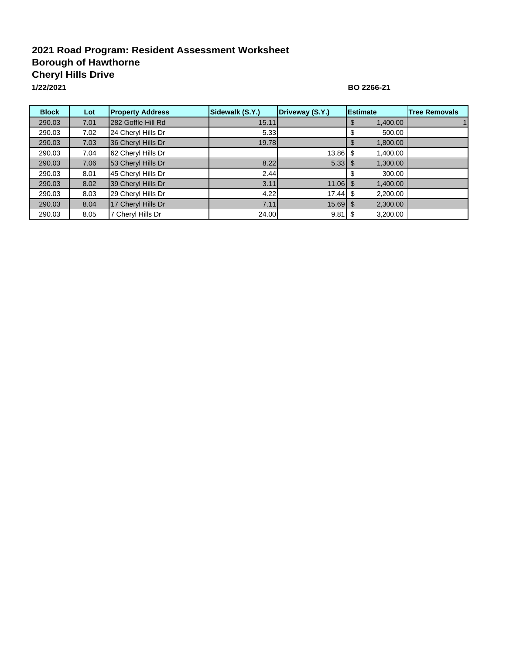# **2021 Road Program: Resident Assessment Worksheet Borough of Hawthorne Cheryl Hills Drive**

**1/22/2021**

### **BO 2266-21**

| <b>Block</b> | Lot  | <b>Property Address</b> | Sidewalk (S.Y.) | Driveway (S.Y.) | <b>IEstimate</b> | <b>Tree Removals</b> |
|--------------|------|-------------------------|-----------------|-----------------|------------------|----------------------|
| 290.03       | 7.01 | 282 Goffle Hill Rd      | 15.11           |                 | 1,400.00         |                      |
| 290.03       | 7.02 | 24 Cheryl Hills Dr      | 5.33            |                 | 500.00           |                      |
| 290.03       | 7.03 | 36 Cheryl Hills Dr      | 19.78           |                 | 1,800.00         |                      |
| 290.03       | 7.04 | 62 Cheryl Hills Dr      |                 | $13.86$ \$      | 1,400.00         |                      |
| 290.03       | 7.06 | 53 Cheryl Hills Dr      | 8.22            |                 | 1,300.00         |                      |
| 290.03       | 8.01 | 45 Cheryl Hills Dr      | 2.44            |                 | 300.00           |                      |
| 290.03       | 8.02 | 39 Cheryl Hills Dr      | 3.11            | $11.06$ \$      | 1,400.00         |                      |
| 290.03       | 8.03 | 29 Cheryl Hills Dr      | 4.22            | 17.44           | 2,200.00<br>\$.  |                      |
| 290.03       | 8.04 | 17 Cheryl Hills Dr      | 7.11            | $15.69$ \$      | 2,300.00         |                      |
| 290.03       | 8.05 | Cheryl Hills Dr         | 24.00           | 9.81            | 3,200.00         |                      |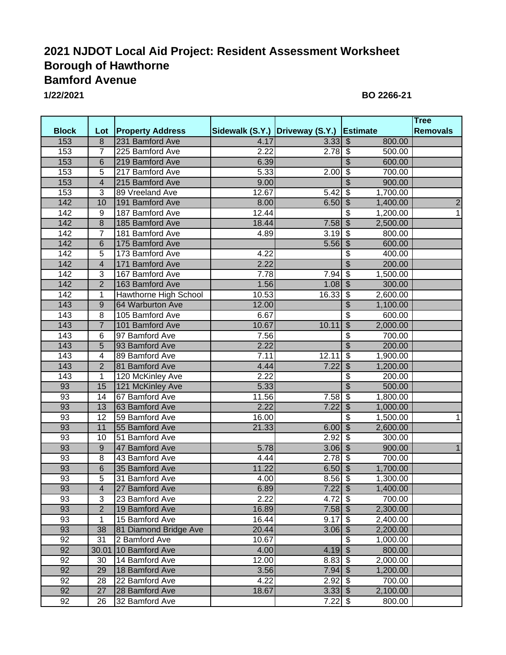# **2021 NJDOT Local Aid Project: Resident Assessment Worksheet Borough of Hawthorne Bamford Avenue**

**1 1/22/2021 BO 2266-2**

|                 |                         |                         |       |                                          |                                       | <b>Tree</b>     |
|-----------------|-------------------------|-------------------------|-------|------------------------------------------|---------------------------------------|-----------------|
| <b>Block</b>    | Lot                     | <b>Property Address</b> |       | Sidewalk (S.Y.) Driveway (S.Y.) Estimate |                                       | <b>Removals</b> |
| 153             | $\overline{8}$          | 231 Bamford Ave         | 4.17  | $3.\overline{33}$ \$                     | 800.00                                |                 |
| 153             | 7                       | 225 Bamford Ave         | 2.22  | $2.78$ \$                                | 500.00                                |                 |
| 153             | $6\phantom{1}$          | 219 Bamford Ave         | 6.39  |                                          | $\overline{\$}$<br>600.00             |                 |
| 153             | 5                       | 217 Bamford Ave         | 5.33  | 2.00                                     | $\overline{\$}$<br>700.00             |                 |
| 153             | $\overline{\mathbf{4}}$ | 215 Bamford Ave         | 9.00  |                                          | $\overline{\$}$<br>900.00             |                 |
| 153             | 3                       | 89 Vreeland Ave         | 12.67 | 5.42                                     | $\overline{\$}$<br>1,700.00           |                 |
| 142             | 10                      | 191 Bamford Ave         | 8.00  | $6.50$ \$                                | 1,400.00                              | $\overline{2}$  |
| 142             | 9                       | 187 Bamford Ave         | 12.44 |                                          | $\overline{\$}$<br>1,200.00           | $\overline{1}$  |
| 142             | $\overline{8}$          | 185 Bamford Ave         | 18.44 | $7.58$ \$                                | 2,500.00                              |                 |
| 142             | 7                       | 181 Bamford Ave         | 4.89  | $3.19$ \$                                | 800.00                                |                 |
| 142             | 6                       | 175 Bamford Ave         |       | $5.56$ \$                                | 600.00                                |                 |
| 142             | 5                       | 173 Bamford Ave         | 4.22  |                                          | \$<br>400.00                          |                 |
| 142             | $\overline{\mathbf{4}}$ | 171 Bamford Ave         | 2.22  |                                          | $\overline{\mathcal{S}}$<br>200.00    |                 |
| 142             | 3                       | 167 Bamford Ave         | 7.78  | 7.94                                     | $\overline{\mathcal{S}}$<br>1,500.00  |                 |
| 142             | $\overline{2}$          | 163 Bamford Ave         | 1.56  | $1.08$ \$                                | 300.00                                |                 |
| 142             | 1                       | Hawthorne High School   | 10.53 | 16.33                                    | $\overline{\$}$<br>2,600.00           |                 |
| 143             | 9                       | 64 Warburton Ave        | 12.00 |                                          | $\overline{\$}$<br>1,100.00           |                 |
| 143             | 8                       | 105 Bamford Ave         | 6.67  |                                          | $\overline{\$}$<br>600.00             |                 |
| 143             | $\overline{7}$          | 101 Bamford Ave         | 10.67 | 10.11                                    | $\overline{\$}$<br>2,000.00           |                 |
| 143             | 6                       | 97 Bamford Ave          | 7.56  |                                          | $\overline{\$}$<br>700.00             |                 |
| 143             | $\overline{5}$          | 93 Bamford Ave          | 2.22  |                                          | \$<br>200.00                          |                 |
| 143             | $\overline{\mathbf{4}}$ | 89 Bamford Ave          | 7.11  | 12.11                                    | $\overline{\$}$<br>1,900.00           |                 |
| 143             | $\overline{2}$          | 81 Bamford Ave          | 4.44  | 7.22                                     | $\boldsymbol{\mathsf{S}}$<br>1,200.00 |                 |
| 143             | 1                       | 120 McKinley Ave        | 2.22  |                                          | \$<br>200.00                          |                 |
| 93              | 15                      | 121 McKinley Ave        | 5.33  |                                          | $\overline{\mathcal{L}}$<br>500.00    |                 |
| 93              | 14                      | 67 Bamford Ave          | 11.56 | $7.58$ \$                                | 1,800.00                              |                 |
| 93              | 13                      | 63 Bamford Ave          | 2.22  | 7.22                                     | \$                                    |                 |
| 93              | 12                      | 59 Bamford Ave          |       |                                          | 1,000.00<br>$\overline{\mathbf{3}}$   |                 |
|                 |                         |                         | 16.00 |                                          | 1,500.00                              | 1               |
| 93              | 11                      | 55 Bamford Ave          | 21.33 | $6.00$ \$                                | 2,600.00                              |                 |
| $\overline{93}$ | 10                      | 51 Bamford Ave          |       | 2.92                                     | $\sqrt{3}$<br>300.00                  |                 |
| $\overline{93}$ | $\overline{9}$          | 47 Bamford Ave          | 5.78  | $3.06$ \$                                | 900.00                                | $\mathbf{1}$    |
| 93              | 8                       | 43 Bamford Ave          | 4.44  | $2.78$ \$                                | 700.00                                |                 |
| 93              | $\overline{6}$          | 35 Bamford Ave          | 11.22 | $6.50$ \$                                | 1,700.00                              |                 |
| 93              | $\overline{5}$          | 31 Bamford Ave          | 4.00  | $8.56$ \$                                | 1,300.00                              |                 |
| $\overline{93}$ | $\overline{4}$          | 27 Bamford Ave          | 6.89  | $7.22$ \$                                | 1,400.00                              |                 |
| 93              | 3                       | 23 Bamford Ave          | 2.22  | $4.72$ \$                                | 700.00                                |                 |
| 93              | $\overline{2}$          | 19 Bamford Ave          | 16.89 | $7.58$ \$                                | 2,300.00                              |                 |
| 93              | 1                       | 15 Bamford Ave          | 16.44 | $9.17$ \$                                | 2,400.00                              |                 |
| 93              | 38                      | 81 Diamond Bridge Ave   | 20.44 | $3.06$ \$                                | 2,200.00                              |                 |
| 92              | 31                      | 2 Bamford Ave           | 10.67 |                                          | \$<br>1,000.00                        |                 |
| 92              | 30.01                   | 10 Bamford Ave          | 4.00  | $4.19$ \$                                | 800.00                                |                 |
| 92              | 30                      | 14 Bamford Ave          | 12.00 | $8.83$ \$                                | 2,000.00                              |                 |
| 92              | 29                      | 18 Bamford Ave          | 3.56  | $7.94$ \$                                | 1,200.00                              |                 |
| 92              | 28                      | 22 Bamford Ave          | 4.22  | $2.92$ \$                                | 700.00                                |                 |
| 92              | 27                      | 28 Bamford Ave          | 18.67 | $3.33$ \$                                | 2,100.00                              |                 |
| 92              | 26                      | 32 Bamford Ave          |       | $7.22$ \$                                | 800.00                                |                 |